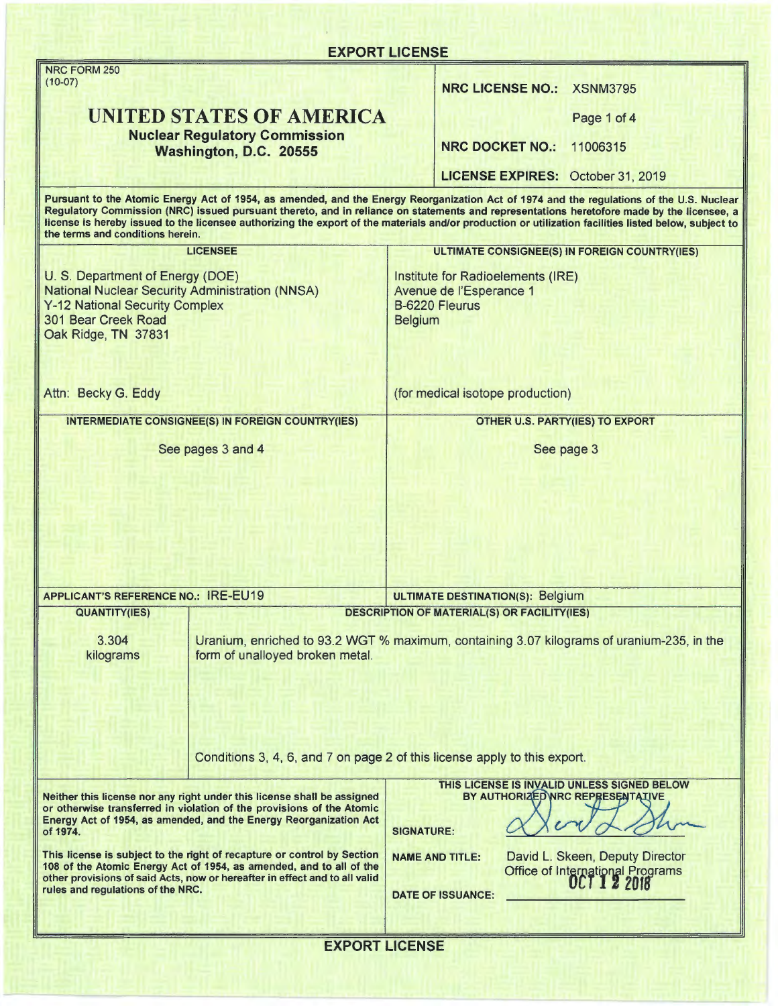| <b>EXPORT LICENSE</b>                                                                                                                                                                                                                                             |                                                                                                                                                                                                                                                                                                                                                                                                                                                |
|-------------------------------------------------------------------------------------------------------------------------------------------------------------------------------------------------------------------------------------------------------------------|------------------------------------------------------------------------------------------------------------------------------------------------------------------------------------------------------------------------------------------------------------------------------------------------------------------------------------------------------------------------------------------------------------------------------------------------|
| NRC FORM 250                                                                                                                                                                                                                                                      |                                                                                                                                                                                                                                                                                                                                                                                                                                                |
| $(10-07)$                                                                                                                                                                                                                                                         | <b>NRC LICENSE NO.: XSNM3795</b>                                                                                                                                                                                                                                                                                                                                                                                                               |
| <b>UNITED STATES OF AMERICA</b><br><b>Nuclear Regulatory Commission</b>                                                                                                                                                                                           | Page 1 of 4                                                                                                                                                                                                                                                                                                                                                                                                                                    |
| Washington, D.C. 20555                                                                                                                                                                                                                                            | <b>NRC DOCKET NO.:</b><br>11006315                                                                                                                                                                                                                                                                                                                                                                                                             |
|                                                                                                                                                                                                                                                                   | <b>LICENSE EXPIRES: October 31, 2019</b>                                                                                                                                                                                                                                                                                                                                                                                                       |
| the terms and conditions herein.                                                                                                                                                                                                                                  | Pursuant to the Atomic Energy Act of 1954, as amended, and the Energy Reorganization Act of 1974 and the regulations of the U.S. Nuclear<br>Regulatory Commission (NRC) issued pursuant thereto, and in reliance on statements and representations heretofore made by the licensee, a<br>license is hereby issued to the licensee authorizing the export of the materials and/or production or utilization facilities listed below, subject to |
| <b>LICENSEE</b>                                                                                                                                                                                                                                                   | ULTIMATE CONSIGNEE(S) IN FOREIGN COUNTRY(IES)                                                                                                                                                                                                                                                                                                                                                                                                  |
| U. S. Department of Energy (DOE)<br><b>National Nuclear Security Administration (NNSA)</b><br><b>Y-12 National Security Complex</b><br>301 Bear Creek Road<br>Oak Ridge, TN 37831                                                                                 | Institute for Radioelements (IRE)<br>Avenue de l'Esperance 1<br><b>B-6220 Fleurus</b><br><b>Belgium</b>                                                                                                                                                                                                                                                                                                                                        |
| Attn: Becky G. Eddy                                                                                                                                                                                                                                               | (for medical isotope production)                                                                                                                                                                                                                                                                                                                                                                                                               |
| <b>INTERMEDIATE CONSIGNEE(S) IN FOREIGN COUNTRY(IES)</b>                                                                                                                                                                                                          | <b>OTHER U.S. PARTY(IES) TO EXPORT</b>                                                                                                                                                                                                                                                                                                                                                                                                         |
| See pages 3 and 4                                                                                                                                                                                                                                                 | See page 3                                                                                                                                                                                                                                                                                                                                                                                                                                     |
|                                                                                                                                                                                                                                                                   |                                                                                                                                                                                                                                                                                                                                                                                                                                                |
| <b>APPLICANT'S REFERENCE NO.: IRE-EU19</b>                                                                                                                                                                                                                        | <b>ULTIMATE DESTINATION(S): Belgium</b>                                                                                                                                                                                                                                                                                                                                                                                                        |
| <b>QUANTITY(IES)</b>                                                                                                                                                                                                                                              | <b>DESCRIPTION OF MATERIAL(S) OR FACILITY(IES)</b>                                                                                                                                                                                                                                                                                                                                                                                             |
| 3.304<br>form of unalloyed broken metal.<br>kilograms                                                                                                                                                                                                             | Uranium, enriched to 93.2 WGT % maximum, containing 3.07 kilograms of uranium-235, in the                                                                                                                                                                                                                                                                                                                                                      |
|                                                                                                                                                                                                                                                                   | Conditions 3, 4, 6, and 7 on page 2 of this license apply to this export.                                                                                                                                                                                                                                                                                                                                                                      |
| Neither this license nor any right under this license shall be assigned<br>or otherwise transferred in violation of the provisions of the Atomic<br>Energy Act of 1954, as amended, and the Energy Reorganization Act<br>of 1974.                                 | THIS LICENSE IS INVALID UNLESS SIGNED BELOW<br>BY AUTHORIZED NRC REPRESENTATIVE<br><b>SIGNATURE:</b>                                                                                                                                                                                                                                                                                                                                           |
| This license is subject to the right of recapture or control by Section<br>108 of the Atomic Energy Act of 1954, as amended, and to all of the<br>other provisions of said Acts, now or hereafter in effect and to all valid<br>rules and regulations of the NRC. | David L. Skeen, Deputy Director<br><b>NAME AND TITLE:</b><br><b>Office of International Programs</b><br><b>OCT 1 2 2018</b><br><b>DATE OF ISSUANCE:</b>                                                                                                                                                                                                                                                                                        |
|                                                                                                                                                                                                                                                                   | <b>EXPORT LICENSE</b>                                                                                                                                                                                                                                                                                                                                                                                                                          |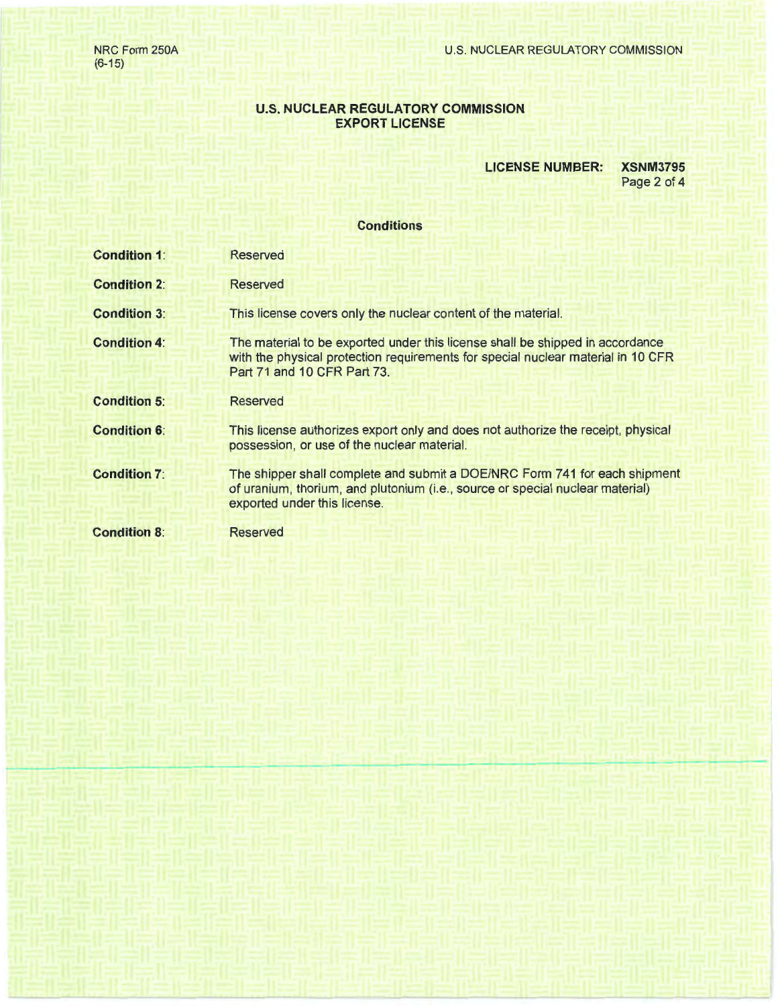NRC Form 250A (6-15)

# **U.S. NUCLEAR REGULATORY COMMISSION EXPORT LICENSE**

### **LICENSE NUMBER: XSNM3795**

Page 2 of 4

## **Conditions**

| <b>Condition 1:</b> | Reserved                                                                                                                                                                                         |
|---------------------|--------------------------------------------------------------------------------------------------------------------------------------------------------------------------------------------------|
| <b>Condition 2:</b> | Reserved                                                                                                                                                                                         |
| <b>Condition 3:</b> | This license covers only the nuclear content of the material.                                                                                                                                    |
| <b>Condition 4:</b> | The material to be exported under this license shall be shipped in accordance<br>with the physical protection requirements for special nuclear material in 10 CFR<br>Part 71 and 10 CFR Part 73. |
| <b>Condition 5:</b> | <b>Reserved</b>                                                                                                                                                                                  |
| <b>Condition 6:</b> | This license authorizes export only and does not authorize the receipt, physical<br>possession, or use of the nuclear material.                                                                  |
| <b>Condition 7:</b> | The shipper shall complete and submit a DOE/NRC Form 741 for each shipment<br>of uranium, thorium, and plutonium (i.e., source or special nuclear material)<br>exported under this license.      |
| <b>Condition 8:</b> | <b>Reserved</b>                                                                                                                                                                                  |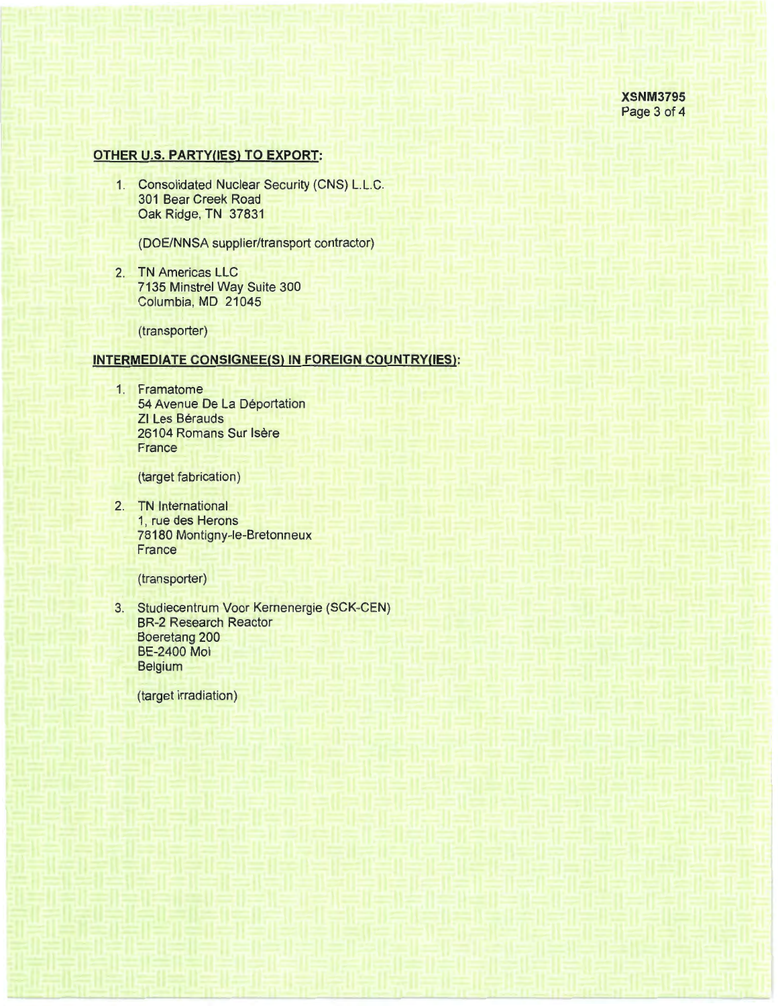# **OTHER U.S. PARTY(IES) TO EXPORT:**

1. Consolidated Nuclear Security (CNS) L.L.C. 301 Bear Creek Road Oak Ridge, TN 37831

(DOE/NNSA supplier/transport contractor)

2. TN Americas LLC 7135 Minstrel Way Suite 300 Columbia, MD 21045

(transporter)

#### **INTERMEDIATE CONSIGNEE(S) IN FOREIGN COUNTRY{IES):**

1. Framatome 54 Avenue De La Déportation ZI Les Bérauds 26104 Romans Sur Isère **France** 

(target fabrication)

2. TN International 1, rue des Herons 78180 Montigny-le-Bretonneux France

(transporter)

3. Studiecentrum Voor Kernenergie (SCK-CEN) BR-2 Research Reactor Boeretang 200 BE-2400 Mol Belgium

(target irradiation)